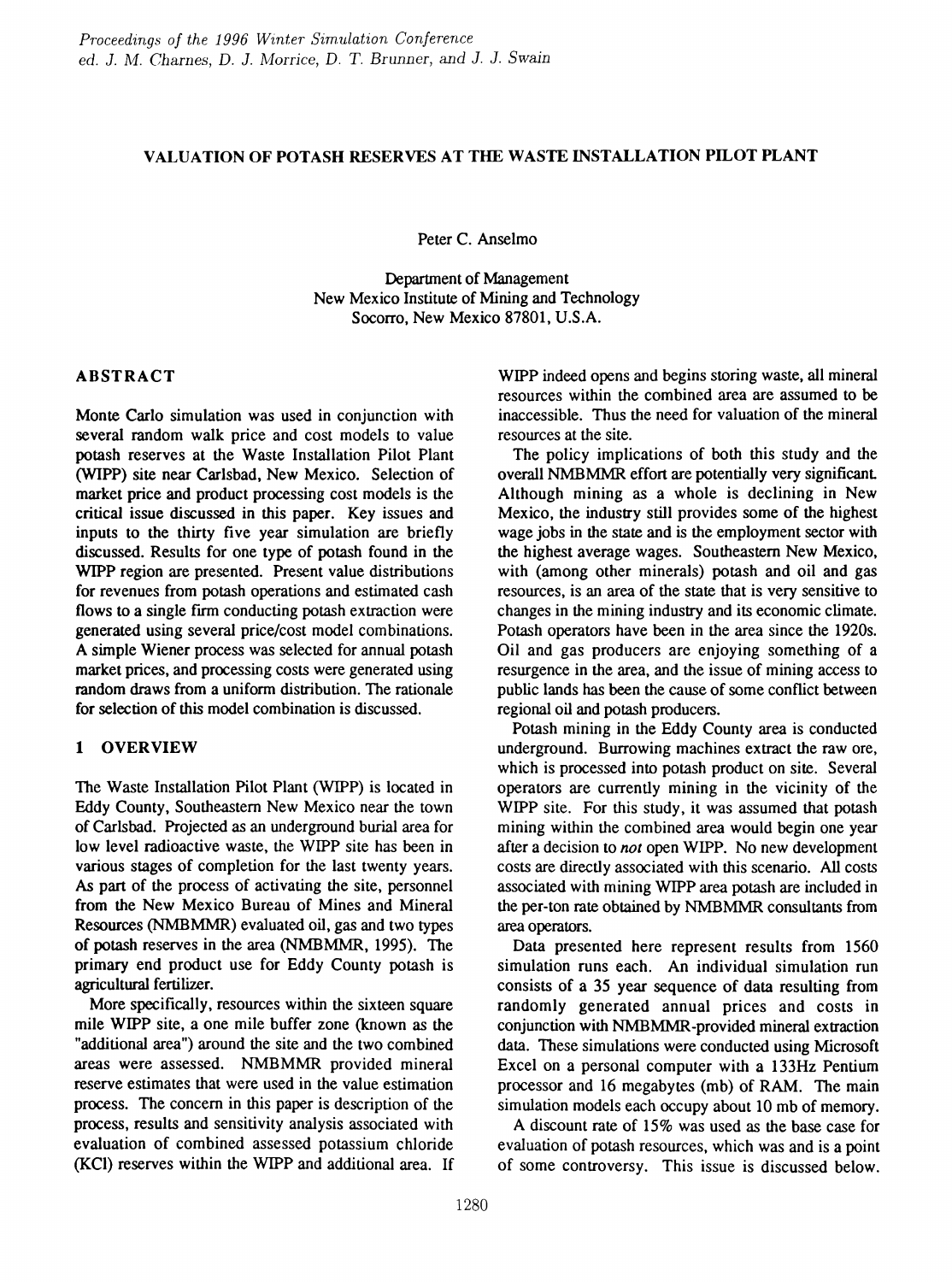#### VALUATION OF POTASH RESERVES AT THE WASTE INSTALLATION PILOT PLANT

Peter C. Anselmo

Department of Management New Mexico Institute of Mining and Technology Socorro, New Mexico 87801, U.S.A.

#### ABSTRACT

Monte Carlo simulation was used in conjunction with several random walk price and cost models to value potash reserves at the Waste Installation Pilot Plant (WIPP) site near Carlsbad, New Mexico. Selection of market price and product processing cost models is the critical issue discussed in this paper. Key issues and inputs to the thirty five year simulation are briefly discussed. Results for one type of potash found in the WIPP region are presented. Present value distributions for revenues from potash operations and estimated cash flows to a single firm conducting potash extraction were generated using several price/cost model combinations. A simple Wiener process was selected for annual potash market prices, and processing costs were generated using random draws from a uniform distribution. The rationale for selection of this model combination is discussed.

### 1 OVERVIEW

The Waste Installation Pilot Plant (WIPP) is located in Eddy County, Southeastern New Mexico near the town of Carlsbad. Projected as an underground burial area for low level radioactive waste, the WIPP site has been in various stages of completion for the last twenty years. As part of the process of activating the site, personnel from the New Mexico Bureau of Mines and Mineral Resources (NMBMMR) evaluated oil, gas and two types of potash reserves in the area (NMBMMR, 1995). The primary end product use for Eddy County potash is agricultural fertilizer.

More specifically, resources within the sixteen square mile WIPP site, a one mile buffer zone (known as the "additional area") around the site and the two combined areas were assessed. NMBMMR provided mineral reserve estimates that were used in the value estimation process. The concern in this paper is description of the process, results and sensitivity analysis associated with evaluation of combined assessed potassium chloride (KCI) reserves within the WIPP and additional area. If WIPP indeed opens and begins storing waste, all mineral resources within the combined area are assumed to be inaccessible. Thus the need for valuation of the mineral resources at the site.

The policy implications of both this study and the overall NMBMMR effort are potentially very significant Although mining as a whole is declining in New Mexico, the industry still provides some of the highest wage jobs in the state and is the employment sector with the highest average wages. Southeastern New Mexico, with (among other minerals) potash and oil and gas resources, is an area of the state that is very sensitive to changes in the mining industry and its economic climate. Potash operators have been in the area since the 1920s. Oil and gas producers are enjoying something of a resurgence in the area, and the issue of mining access to public lands has been the cause of some conflict between regional oil and potash producers.

Potash mining in the Eddy County area is conducted underground. Burrowing machines extract the raw ore, which is processed into potash product on site. Several operators are currently mining in the vicinity of the WIPP site. For this study, it was assumed that potash mining within the combined area would begin one year after a decision to *not* open WIPP. No new development costs are directly associated with this scenario. All costs associated with mining WIPP area potash are included in the per-ton rate obtained by NMBMMR consultants from area operators.

Data presented here represent results from 1560 simulation runs each. An individual simulation run consists of a 35 year sequence of data resulting from randomly generated annual prices and costs in conjunction with NMBMMR-provided mineral extraction data. These simulations were conducted using Microsoft Excel on a personal computer with a 133Hz Pentium processor and 16 megabytes (mb) of RAM. The main simulation models each occupy about 10 mb of memory.

A discount rate of 15% was used as the base case for evaluation of potash resources, which was and is a point of some controversy. This issue is discussed below.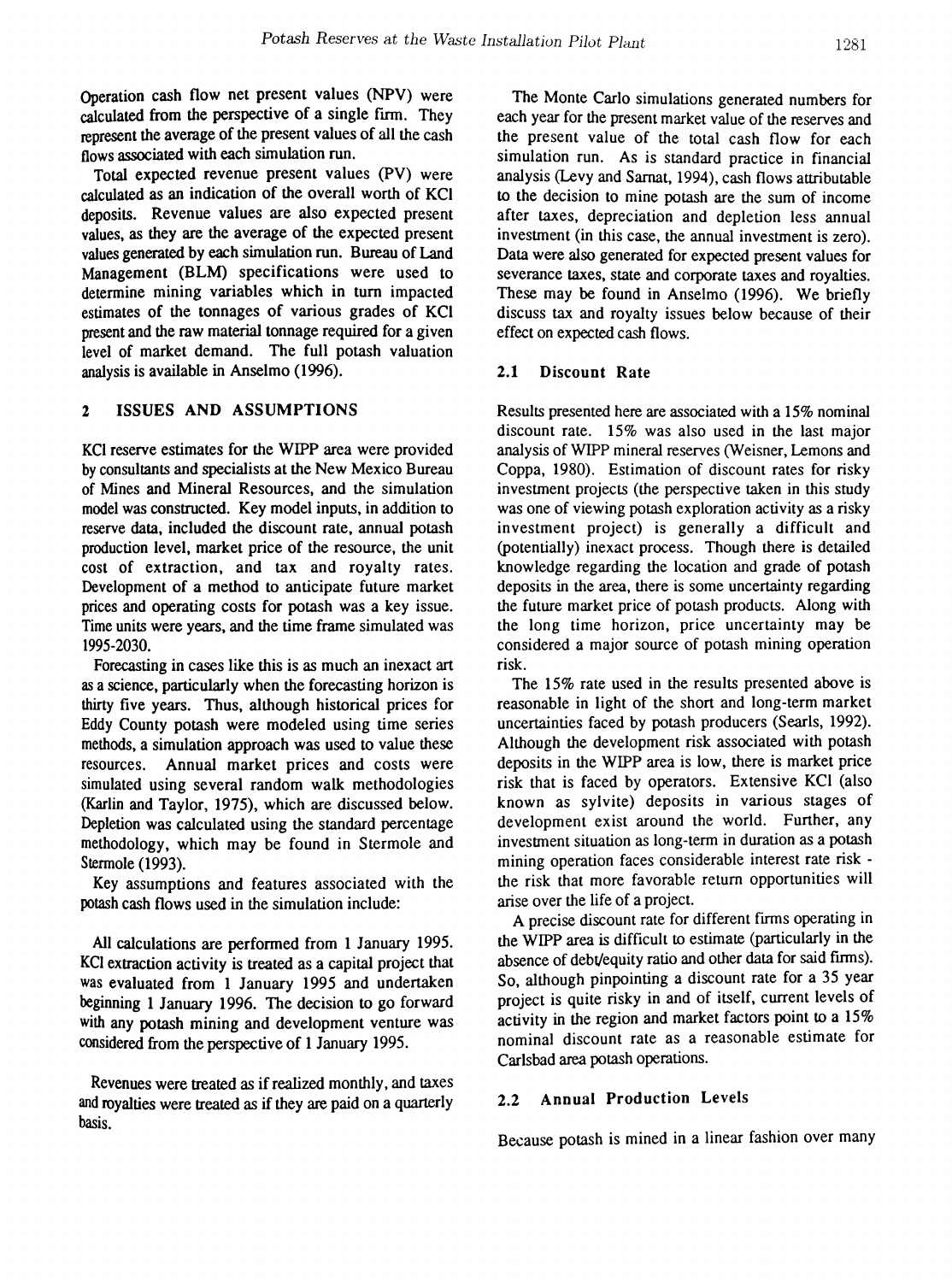Operation cash flow net present values (NPV) were calculated from the perspective of a single firm. They represent the average of the present values of all the cash flows associated with each simulation run.

Total expected revenue present values (PV) were calculated as an indication of the overall worth of KCI deposits. Revenue values are also expected present values, as they are the average of the expected present values generated by each simulation run. Bureau of Land Management (BLM) specifications were used to determine mining variables which in turn impacted estimates of the tonnages of various grades of KCI present and the raw material tonnage required for a given level of market demand. The full potash valuation analysis is available in Anselmo (1996).

#### 2 ISSUES AND ASSUMPTIONS

KCI reserve estimates for the WIPP area were provided by consultants and specialists at the New Mexico Bureau of Mines and Mineral Resources, and the simulation model was constructed. Key model inputs, in addition to reserve data, included the discount rate, annual potash production level, market price of the resource, the unit cost of extraction, and tax and royalty rates. Development of a method to anticipate future market prices and operating costs for potash was a key issue. Time units were years, and the time frame simulated was 1995-2030.

Forecasting in cases like this is as much an inexact art as a science, particularly when the forecasting horizon is thirty five years. Thus, although historical prices for Eddy County potash were modeled using time series methods, a simulation approach was used to value these resources. Annual market prices and costs were simulated using several random walk methodologies (Karlin and Taylor, 1975), which are discussed below. Depletion was calculated using the standard percentage methodology, which may be found in Stermole and Stermole (1993).

Key assumptions and features associated with the potash cash flows used in the simulation include:

All calculations are performed from 1 January 1995. KCI extraction activity is treated as a capital project that was evaluated from 1 January 1995 and undertaken beginning 1 January 1996. The decision to go forward with any potash mining and development venture was considered from the perspective of 1 January 1995.

Revenues were treated as if realized monthly, and taxes and royalties were treated as if they are paid on a quarterly basis.

The Monte Carlo simulations generated numbers for each year for the present market value of the reserves and the present value of the total cash flow for each simulation run. As is standard practice in financial analysis (Levy and Sarnat, 1994), cash flows attributable to the decision to mine potash are the sum of income after taxes, depreciation and depletion less annual investment (in this case, the annual investment is zero). Data were also generated for expected present values for severance taxes, state and corporate taxes and royalties. These may be found in Anselmo (1996). We briefly discuss tax and royalty issues below because of their effect on expected cash flows.

#### 2.1 Discount Rate

Results presented here are associated with a 15% nominal discount rate. 15% was also used in the last major analysis of WIPP mineral reserves (Weisner, Lemons and Coppa, 1980). Estimation of discount rates for risky investment projects (the perspective taken in this study was one of viewing potash exploration activity as a risky investment project) is generally a difficult and (potentially) inexact process. Though there is detailed knowledge regarding the location and grade of potash deposits in the area, there is some uncertainty regarding the future market price of potash products. Along with the long time horizon, price uncertainty may be considered a major source of potash mining operation risk.

The 15% rate used in the results presented above is reasonable in light of the short and long-term market uncertainties faced by potash producers (Searls, 1992). Although the development risk associated with potash deposits in the WIPP area is low, there is market price risk that is faced by operators. Extensive KCl (also known as sylvite) deposits in various stages of development exist around the world. Further, any investment situation as long-term in duration as a potash mining operation faces considerable interest rate risk the risk that more favorable return opportunities will arise over the life of a project.

A precise discount rate for different firms operating in the WIPP area is difficult to estimate (particularly in the absence of debt/equity ratio and other data for said firms). So, although pinpointing a discount rate for a 35 year project is quite risky in and of itself, current levels of activity in the region and market factors point to a 15% nominal discount rate as a reasonable estimate for Carlsbad area potash operations.

#### 2.2 Annual Production Levels

Because potash is mined in a linear fashion over many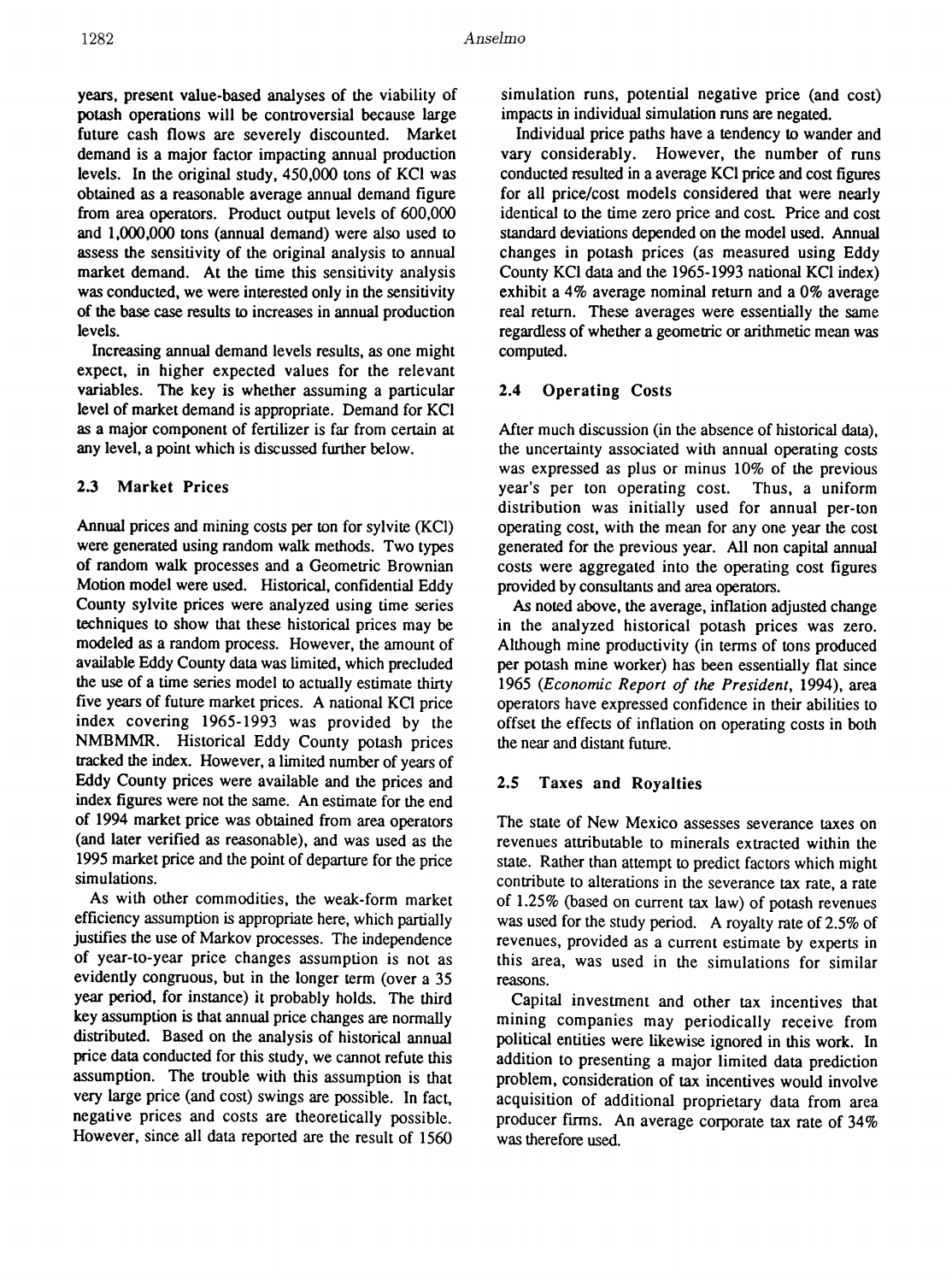years, present value-based analyses of the viability of potash operations will be controversial because large future cash flows are severely discounted. Market demand is a major factor impacting annual production levels. In the original study, 450,000 tons of KCI was obtained as a reasonable average annual demand figure from area operators. Product output levels of 600,000 and 1,000,000 tons (annual demand) were also used to assess the sensitivity of the original analysis to annual market demand. At the time this sensitivity analysis was conducted, we were interested only in the sensitivity of the base case results to increases in annual production levels.

Increasing annual demand levels results, as one might expect, in higher expected values for the relevant variables. The key is whether assuming a particular level of market demand is appropriate. Demand for KCI as a major component of fertilizer is far from certain at any level, a point which is discussed fwther below.

### 2.3 Market Prices

Annual prices and mining costs per ton for sylvite (KCI) were generated using random walk methods. Two types of random walk processes and a Geometric Brownian Motion model were used. Historical, confidential Eddy County sylvite prices were analyzed using time series techniques to show that these historical prices may be modeled as a random process. However, the amount of available Eddy County data was limited, which precluded the use of a time series model to actually estimate thirty five years of future market prices. A national KCI price index covering 1965-1993 was provided by the NMBMMR. Historical Eddy County potash prices tracked the index. However, a limited number of years of Eddy County prices were available and the prices and index figures were not the same. An estimate for the end of 1994 market price was obtained from area operators (and later verified as reasonable), and was used as the 1995 market price and the point of departure for the price simulations.

As with other commodities, the weak-form market efficiency assumption is appropriate here, which partially justifies the use of Markov processes. The independence of year-to-year price changes assumption is not as evidently congruous, but in the longer term (over a 35 year period, for instance) it probably holds. The third key assumption is that annual price changes are normally distributed. Based on the analysis of historical annual price data conducted for this study, we cannot refute this assumption. The trouble with this assumption is that very large price (and cost) swings are possible. In fact, negative prices and costs are theoretically possible. However, since all data reported are the result of 1560

simulation runs, potential negative price (and cost) impacts in individual simulation runs are negated.

Individual price paths have a tendency to wander and vary considerably. However, the number of runs conducted resulted in a average KCI price and cost figures for all price/cost models considered that were nearly identical to the time zero price and cost Price and cost standard deviations depended on the model used. Annual changes in potash prices (as measured using Eddy County KCI data and the 1965-1993 national KCI index) exhibit a 4% average nominal return and a 0% average real retwn. These averages were essentially the same regardless of whether a geometric or arithmetic mean was computed.

# 2.4 Operating Costs

After much discussion (in the absence of historical data), the uncertainty associated with annual operating costs was expressed as plus or minus 10% of the previous year's per ton operating cost. Thus, a uniform distribution was initially used for annual per-ton operating cost, with the mean for anyone year the cost generated for the previous year. All non capital annual costs were aggregated into the operating cost figures provided by consultants and area operators.

As noted above, the average, inflation adjusted change in the analyzed historical potash prices was zero. Although mine productivity (in terms of tons produced per potash mine worker) has been essentially flat since *1965 (Economic Report of the President,* 1994), area operators have expressed confidence in their abilities to offset the effects of inflation on operating costs in both the near and distant future.

# 2.5 Taxes and Royalties

The state of New Mexico assesses severance taxes on revenues attributable to minerals extracted within the state. Rather than attempt to predict factors which might contribute to alterations in the severance tax rate, a rate of 1.25% (based on current tax law) of potash revenues was used for the study period. A royalty rate of 2.5% of revenues, provided as a current estimate by experts in this area, was used in the simulations for similar reasons.

Capital investment and other tax incentives that mining companies may periodically receive from political entities were likewise ignored in this work. In addition to presenting a major limited data prediction problem, consideration of tax incentives would involve acquisition of additional proprietary data from area producer firms. An average corporate tax rate of 34% was therefore used.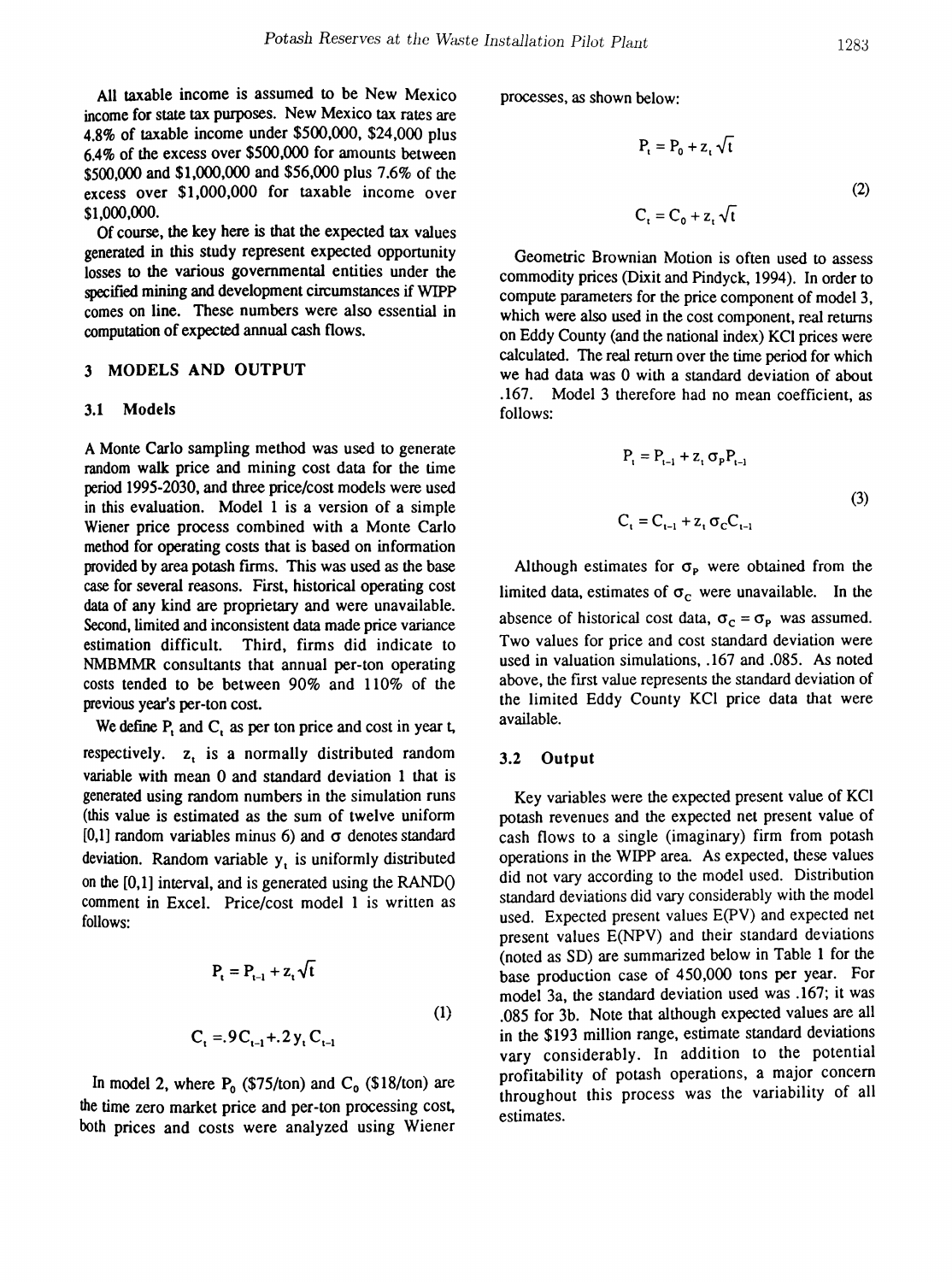All taxable income is assumed to be New Mexico income for state tax purposes. New Mexico tax rates are 4.8% of taxable income under \$500,000, \$24,000 plus 6.4% of the excess over \$500,000 for amounts between \$500,000 and \$1,000,000 and \$56,000 plus 7.6% of the excess over \$1,000,000 for taxable income over \$1,000,000.

Of course, the key here is that the expected tax values generated in this study represent expected opportunity losses to the various governmental entities under the specified mining and development circumstances if WIPP comes on line. These numbers were also essential in computation of expected annual cash flows.

#### 3 MODELS AND OUTPUT

#### 3.1 Models

A Monte Carlo sampling method was used to generate random walk price and mining cost data for the time period 1995-2030, and three price/cost models were used in this evaluation. Model 1 is a version of a simple Wiener price process combined with a Monte Carlo method for operating costs that is based on information provided by area potash frrms. This was used as the base case for several reasons. First, historical operating cost data of any kind are proprietary and were unavailable. Second, limited and inconsistent data made price variance estimation difficult. Third, firms did indicate to NMBMMR consultants that annual per-ton operating costs tended to be between 90% and 110% of the previous year's per-ton cost.

We define  $P_t$  and  $C_t$  as per ton price and cost in year t, respectively.  $z<sub>t</sub>$  is a normally distributed random variable with mean 0 and standard deviation 1 that is generated using random numbers in the simulation runs (this value is estimated as the sum of twelve uniform [0,1] random variables minus 6) and  $\sigma$  denotes standard deviation. Random variable  $y<sub>t</sub>$  is uniformly distributed on the [0,1] interval, and is generated using the RANDO comment in Excel. Price/cost model 1 is written as follows:

$$
P_{t} = P_{t-1} + z_{t} \sqrt{t}
$$
  
(1)  

$$
C_{t} = 0.9C_{t-1} + 0.2 y_{t} C_{t-1}
$$

In model 2, where  $P_0$  (\$75/ton) and  $C_0$  (\$18/ton) are the time zero market price and per-ton processing cost, both prices and costs were analyzed using Wiener processes, as shown below:

$$
P_{t} = P_{0} + z_{t} \sqrt{t}
$$
  
(2)  

$$
C_{t} = C_{0} + z_{t} \sqrt{t}
$$

Geometric Brownian Motion is often used to assess commodity prices (Dixit and Pindyck, 1994). In order to compute parameters for the price component of model 3, which were also used in the cost component, real returns on Eddy County (and the national index) KCI prices were calculated. The real return over the time period for which we had data was 0 with a standard deviation of about .167. Model 3 therefore had no mean coefficient, as follows:

$$
P_{t} = P_{t-1} + z_{t} \sigma_{p} P_{t-1}
$$
  
\n
$$
C_{t} = C_{t-1} + z_{t} \sigma_{c} C_{t-1}
$$
\n(3)

Although estimates for  $\sigma_{\rm P}$  were obtained from the limited data, estimates of  $\sigma_c$  were unavailable. In the absence of historical cost data,  $\sigma_c = \sigma_p$  was assumed. Two values for price and cost standard deviation were used in valuation simulations, .167 and .085. As noted above, the frrst value represents the standard deviation of the limited Eddy County KCI price data that were available.

#### 3.2 Output

Key variables were the expected present value of KCI potash revenues and the expected net present value of cash flows to a single (imaginary) firm from potash operations in the WIPP area. As expected, these values did not vary according to the model used. Distribution standard deviations did vary considerably with the model used. Expected present values E(PV) and expected net present values E(NPV) and their standard deviations (noted as SD) are summarized below in Table 1 for the base production case of 450,000 tons per year. For model 3a, the standard deviation used was .167; it was .085 for 3b. Note that although expected values are all in the \$193 million range, estimate standard deviations vary considerably. In addition to the potential profitability of potash operations, a major concern throughout this process was the variability of all estimates.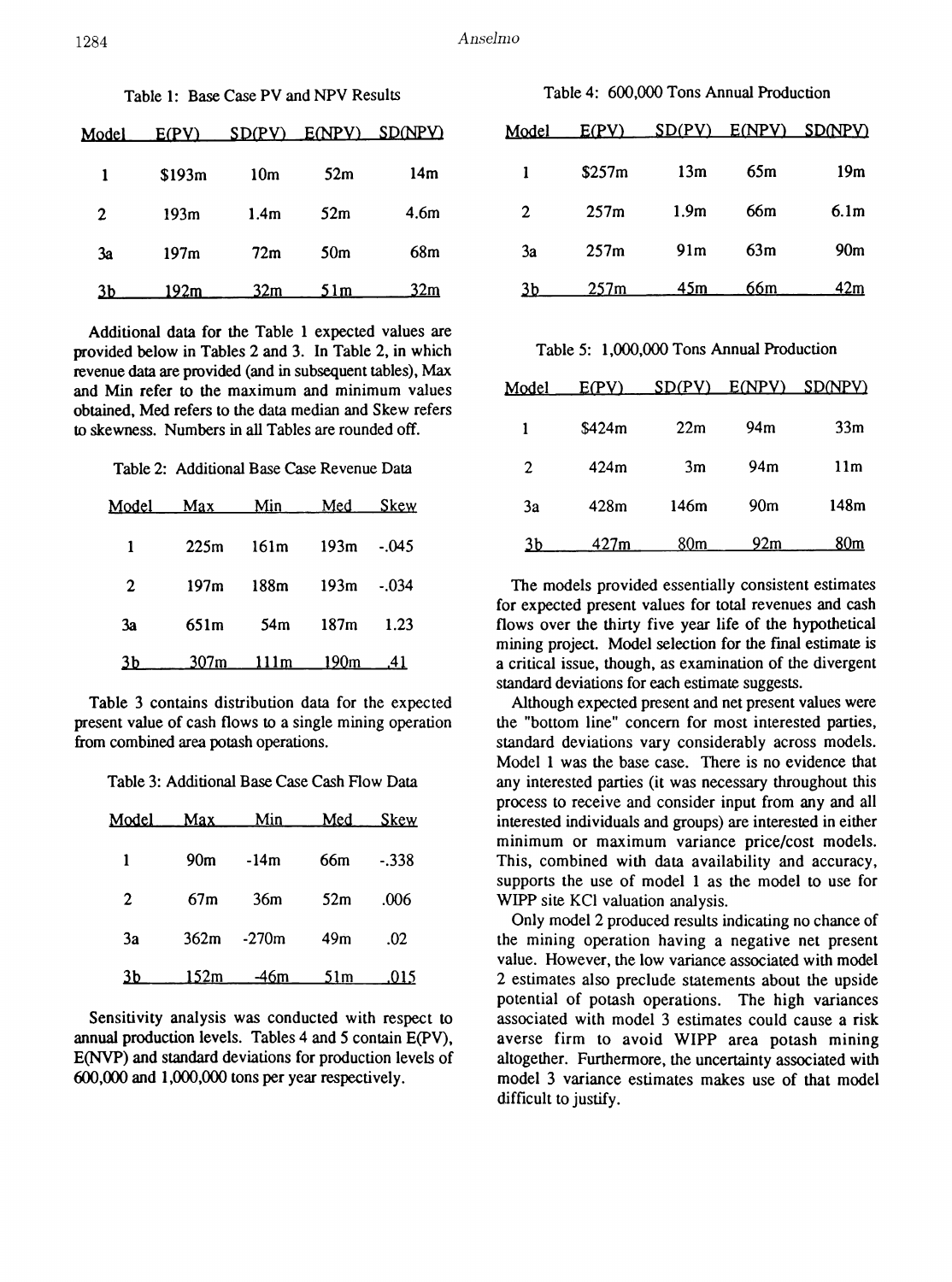| Table 1: Base Case PV and NPV Results |        |                  |                 | Table 4: 600,000 Tons Annual Production |       |        |                  |                 |  |
|---------------------------------------|--------|------------------|-----------------|-----------------------------------------|-------|--------|------------------|-----------------|--|
| Model                                 | E(PY)  | SD(PV)           | E(NPY)          | <b>SD(NPV)</b>                          | Model | E(PV)  | SD(PV)           | E(NPV) SD(      |  |
|                                       | \$193m | 10 <sub>m</sub>  | 52m             | 14m                                     |       | \$257m | 13m              | 65m             |  |
| 2                                     | 193m   | 1.4 <sub>m</sub> | 52m             | 4.6m                                    | 2     | 257m   | 1.9 <sub>m</sub> | 66 <sub>m</sub> |  |
| 3a                                    | 197m   | 72m              | 50 <sub>m</sub> | 68m                                     | 3a    | 257m   | 91 <sub>m</sub>  | 63m             |  |
| 3b                                    | 192m   | 32m              | 51m             | 32m                                     | 3b    | 257m   | 45m              | 66m             |  |

Additional data for the Table 1 expected values are provided below in Tables 2 and 3. In Table 2, in which revenue data are provided (and in subsequent tables), Max and Min refer to the maximum and minimum values obtained. Med refers to the data median and Skew refers to skewness. Numbers in all Tables are rounded off.

Table 2: Additional Base Case Revenue Data

| Model | Max  | Min            | Med  | <b>Skew</b> |
|-------|------|----------------|------|-------------|
| 1     | 225m | 161m           | 193m | $-.045$     |
| 2     | 197m | 188m           | 193m | $-.034$     |
| 3a    | 651m | 54m            | 187m | 1.23        |
| 3b.   |      | 307m 111m 190m |      | .41         |

Table 3 contains distribution data for the expected present value of cash flows to a single mining operation from combined area potash operations.

Table 3: Additional Base Case Cash Flow Data

| Model .      | Max             | Min     | Med             | Skew       |
|--------------|-----------------|---------|-----------------|------------|
| 1            | 90 <sub>m</sub> | $-14m$  | 66m             | $-.338$    |
| $\mathbf{2}$ | 67m             | 36m     | 52m             | .006       |
| 3a           | 362m            | $-270m$ | 49 <sub>m</sub> | .02        |
| <u>3b</u>    | <u> 152m </u>   | –46m    | 51m             | <u>015</u> |

Sensitivity analysis was conducted with respect to annual production levels. Tables 4 and 5 contain E(PV), E(NVP) and standard deviations for production levels of 600,000 and 1,000,000 tons per year respectively.

|  | lel E(PV) SD(PV) E(NPV) SD(NPV) |  |
|--|---------------------------------|--|

| Model | E(PV)  | SD(PV)           |     | E(NPV) SD(NPV) |
|-------|--------|------------------|-----|----------------|
| 1     | \$257m | 13m              | 65m | 19m            |
| 2     | 257m   | 1.9 <sub>m</sub> | 66m | 6.1m           |
| 3a    | 257m   | 91 <sub>m</sub>  | 63m | 90m            |
| 3b.   | 257m   | 45m              | 66m | 42m            |

Table 5: 1,000,000 Tons Annual Production

| Model        | E(PV)  | SD(PV) | E(NPV)          | <u>SD(NPV)</u>  |
|--------------|--------|--------|-----------------|-----------------|
| 1            | \$424m | 22m    | 94m             | 33 <sub>m</sub> |
| $\mathbf{2}$ | 424m   | 3m     | 94m             | 11m             |
| 3a           | 428m   | 146m   | 90 <sub>m</sub> | 148m            |
| 3b           | 427m   | 80m    | 92m             | 80m             |

The models provided essentially consistent estimates for expected present values for total revenues and cash flows over the thirty five year life of the hypothetical mining project. Model selection for the fmal estimate is a critical issue, though. as examination of the divergent standard deviations for each estimate suggests.

Although expected present and net present values were the "bottom line" concern for most interested parties, standard deviations vary considerably across models. Model 1 was the base case. There is no evidence that any interested parties (it was necessary throughout this process to receive and consider input from any and all interested individuals and groups) are interested in either minimum or maximum variance price/cost models. This, combined with data availability and accuracy, supports the use of model 1 as the model to use for WIPP site KCl valuation analysis.

Only model 2 produced results indicating no chance of the mining operation having a negative net present value. However, the low variance associated with model 2 estimates also preclude statements about the upside potential of potash operations. The high variances associated with model 3 estimates could cause a risk averse firm to avoid WIPP area potash mining altogether. Furthermore, the uncertainty associated with model 3 variance estimates makes use of that model difficult to justify.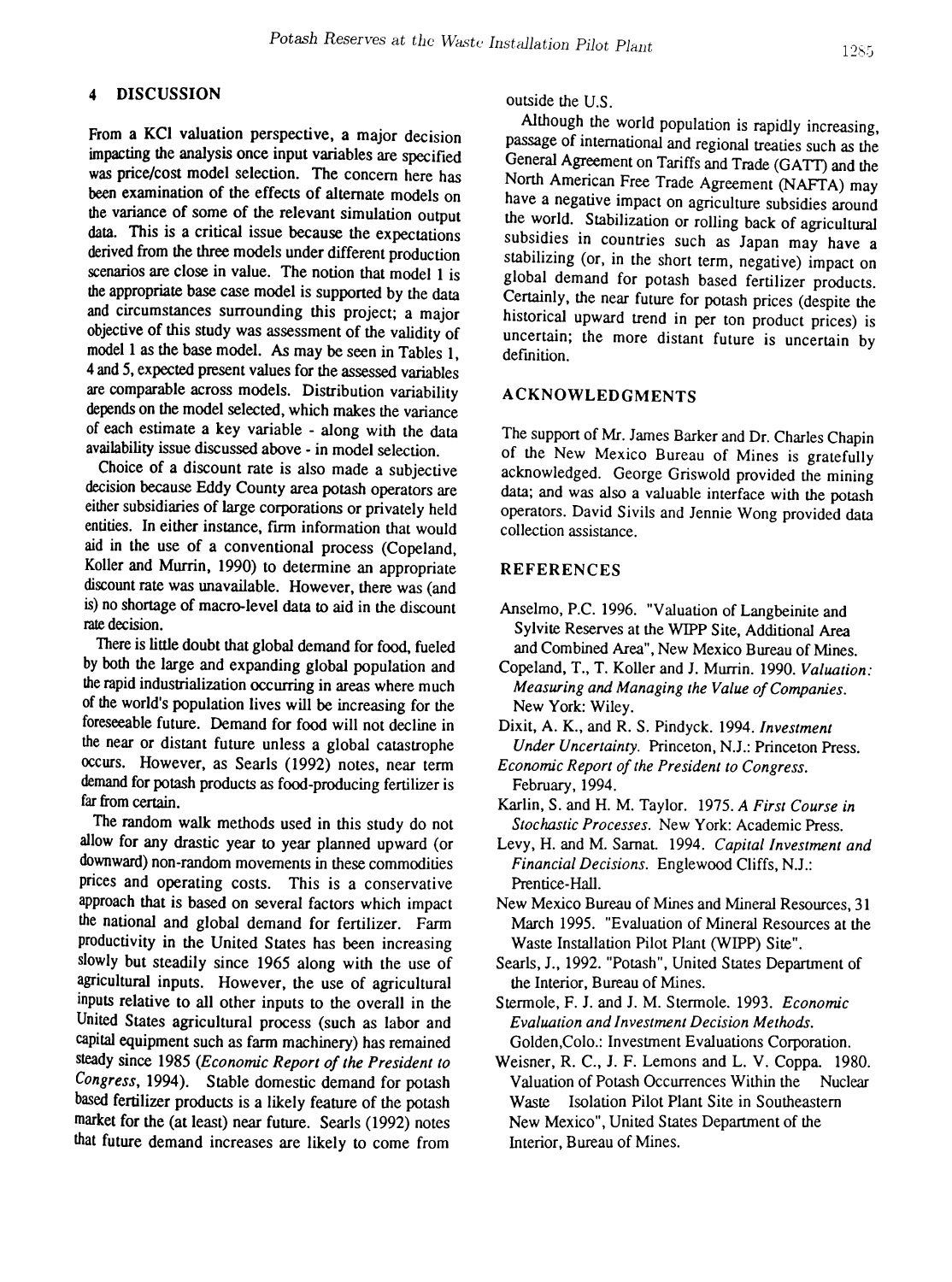# 4 DISCUSSION

From a KCI valuation perspective, a major decision impacting the analysis once input variables are specified was price/cost model selection. The concern here has been examination of the effects of alternate models on the variance of some of the relevant simulation output data. This is a critical issue because the expectations derived from the three models under different production scenarios are close in value. The notion that model 1 is the appropriate base case model is supported by the data and circumstances surrounding this project; a major objective of this study was assessment of the validity of model 1 as the base model. *As* may be seen in Tables 1, 4and 5, expected present values for the assessed variables are comparable across models. Distribution variability depends on the model selected, which makes the variance of each estimate a key variable - along with the data availability issue discussed above - in model selection.

Choice of a discount rate is also made a subjective decision because Eddy County area potash operators are either subsidiaries of large corporations or privately held entities. In either instance, firm information that would aid in the use of a conventional process (Copeland, Koller and Murrin, 1990) to determine an appropriate discount rate was unavailable. However, there was (and is) no shortage of macro-level data to aid in the discount rate decision.

There is little doubt that global demand for food, fueled by both the large and expanding global population and the rapid industrialization occurring in areas where much of the world's population lives will be increasing for the foreseeable future. Demand for food will not decline in the near or distant future unless a global catastrophe occurs. However, as Searls (1992) notes, near term demand for potash products as food-producing fertilizer is far from certain.

The random walk methods used in this study do not allow for any drastic year to year planned upward (or downward) non-random movements in these commodities prices and operating costs. This is a conservative approach that is based on several factors which impact the national and global demand for fertilizer. Farm productivity in the United States has been increasing slowly but steadily since 1965 along with the use of agricultural inputs. However, the use of agricultural inputs relative to all other inputs to the overall in the United States agricultural process (such as labor and capital equipment such as farm machinery) has remained steady since 1985 *(Economic Report of the President to* Congress, 1994). Stable domestic demand for potash based fertilizer products is a likely feature of the potash market for the (at least) near future. Searls (1992) notes that future demand increases are likely to come from

# outside the U.S.

Although the world population is rapidly increasing, passage of international and regional treaties such as the General Agreement on Tariffs and Trade (GATT) and the North American Free Trade Agreement (NAFTA) may have a negative impact on agriculture subsidies around the world. Stabilization or rolling back of agricultural subsidies in countries such as Japan may have a stabilizing (or, in the short term, negative) impact on global demand for potash based fertilizer products. Certainly, the near future for potash prices (despite the historical upward trend in per ton product prices) is uncertain; the more distant future is uncertain by definition.

#### ACKNOWLEDGMENTS

The support of Mr. James Barker and Dr. Charles Chapin of the New Mexico Bureau of Mines is gratefully acknowledged. George Griswold provided the mining data; and was also a valuable interface with the potash operators. David Sivils and Jennie Wong provided data collection assistance.

#### REFERENCES

- Anselmo, P.C. 1996. "Valuation of Langbeinite and Sylvite Reserves at the WIPP Site, Additional Area and Combined Area", New Mexico Bureau of Mines.
- Copeland, T., T. Koller and J. Murrin. 1990. *Valuation: Measuring and Managing the Value ofCompanies.* New York: Wiley.
- Dixit, A. K., and R. S. Pindyck. 1994. *Investment Under Uncertainty.* Princeton, N.J.: Princeton Press.
- *Economic Report of the President to Congress.* February, 1994.
- Karlin, S. and H. M. Taylor. 1975. *A First Course in Stochastic Processes.* New York: Academic Press.
- Levy, H. and M. Samat. 1994. *Capital Investment and Financial Decisions.* Englewood Cliffs, N.J.: Prentice-Hall.
- New Mexico Bureau of Mines and Mineral Resources, 31 March 1995. "Evaluation of Mineral Resources at the Waste Installation Pilot Plant (WIPP) Site".
- Searls, J., 1992. "Potash", United States Department of the Interior, Bureau of Mines.
- Stermole, F. J. and J. M. Stermole. 1993. *Economic Evaluation and Investment Decision Methods.* Golden, Colo.: Investment Evaluations Corporation.
- Weisner, R. C., J. F. Lemons and L. V. Coppa. 1980. Valuation of Potash Occurrences Within the Nuclear Waste Isolation Pilot Plant Site in Southeastern New Mexico", United States Department of the Interior, Bureau of Mines.